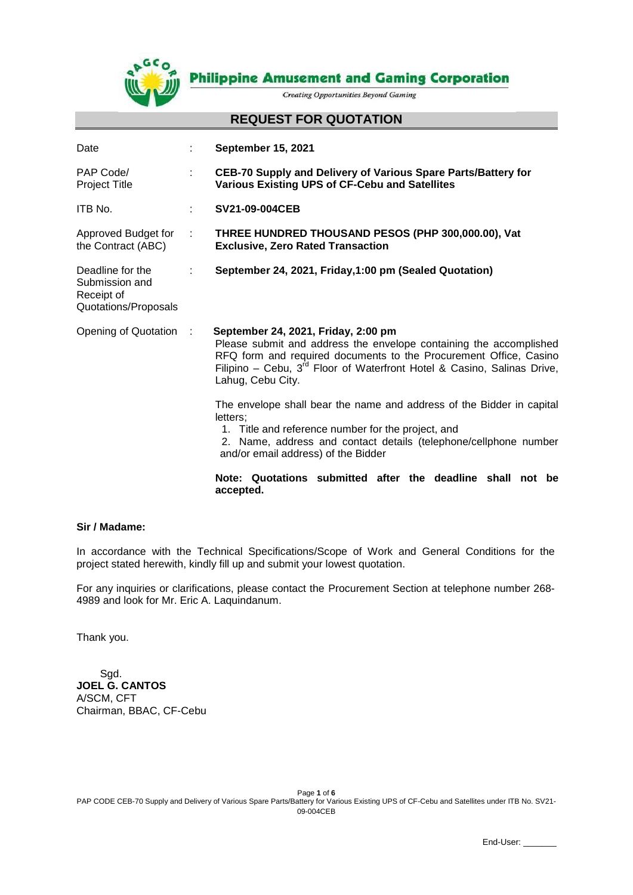

**Philippine Amusement and Gaming Corporation** 

**Creating Opportunities Beyond Gaming** 

#### **REQUEST FOR QUOTATION**

| Date                                                                     |    | <b>September 15, 2021</b>                                                                                                                                                                                                                                                                                                                                                                                                                                                                                                                 |  |
|--------------------------------------------------------------------------|----|-------------------------------------------------------------------------------------------------------------------------------------------------------------------------------------------------------------------------------------------------------------------------------------------------------------------------------------------------------------------------------------------------------------------------------------------------------------------------------------------------------------------------------------------|--|
| PAP Code/<br><b>Project Title</b>                                        | ÷  | CEB-70 Supply and Delivery of Various Spare Parts/Battery for<br><b>Various Existing UPS of CF-Cebu and Satellites</b>                                                                                                                                                                                                                                                                                                                                                                                                                    |  |
| ITB No.                                                                  | ÷. | SV21-09-004CEB                                                                                                                                                                                                                                                                                                                                                                                                                                                                                                                            |  |
| Approved Budget for<br>the Contract (ABC)                                | ÷  | THREE HUNDRED THOUSAND PESOS (PHP 300,000.00), Vat<br><b>Exclusive, Zero Rated Transaction</b>                                                                                                                                                                                                                                                                                                                                                                                                                                            |  |
| Deadline for the<br>Submission and<br>Receipt of<br>Quotations/Proposals |    | September 24, 2021, Friday, 1:00 pm (Sealed Quotation)                                                                                                                                                                                                                                                                                                                                                                                                                                                                                    |  |
| Opening of Quotation :                                                   |    | September 24, 2021, Friday, 2:00 pm<br>Please submit and address the envelope containing the accomplished<br>RFQ form and required documents to the Procurement Office, Casino<br>Filipino – Cebu, $3^{rd}$ Floor of Waterfront Hotel & Casino, Salinas Drive,<br>Lahug, Cebu City.<br>The envelope shall bear the name and address of the Bidder in capital<br>letters:<br>1. Title and reference number for the project, and<br>2. Name, address and contact details (telephone/cellphone number<br>and/or email address) of the Bidder |  |
|                                                                          |    |                                                                                                                                                                                                                                                                                                                                                                                                                                                                                                                                           |  |
|                                                                          |    | Note: Quotations submitted after the deadline shall not be<br>accepted.                                                                                                                                                                                                                                                                                                                                                                                                                                                                   |  |

#### **Sir / Madame:**

In accordance with the Technical Specifications/Scope of Work and General Conditions for the project stated herewith, kindly fill up and submit your lowest quotation.

For any inquiries or clarifications, please contact the Procurement Section at telephone number 268- 4989 and look for Mr. Eric A. Laquindanum.

Thank you.

 Sgd. **JOEL G. CANTOS** A/SCM, CFT Chairman, BBAC, CF-Cebu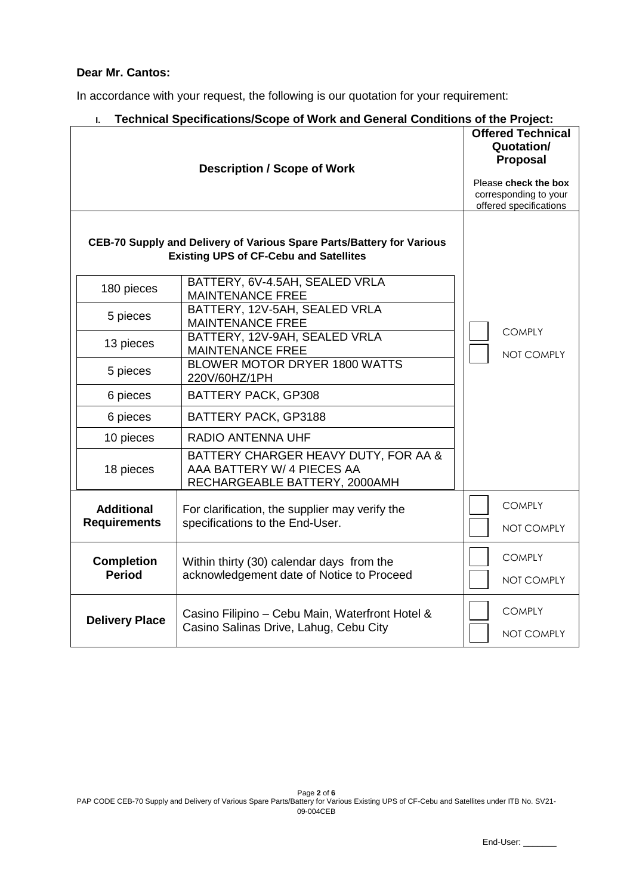## **Dear Mr. Cantos:**

In accordance with your request, the following is our quotation for your requirement:

| Technical Specifications/Scope of Work and General Conditions of the Project:<br>I.                                    |                                                                                                                                      |                             |  |  |  |
|------------------------------------------------------------------------------------------------------------------------|--------------------------------------------------------------------------------------------------------------------------------------|-----------------------------|--|--|--|
|                                                                                                                        | <b>Offered Technical</b><br>Quotation/<br><b>Proposal</b><br>Please check the box<br>corresponding to your<br>offered specifications |                             |  |  |  |
| CEB-70 Supply and Delivery of Various Spare Parts/Battery for Various<br><b>Existing UPS of CF-Cebu and Satellites</b> |                                                                                                                                      |                             |  |  |  |
| 180 pieces                                                                                                             | BATTERY, 6V-4.5AH, SEALED VRLA<br><b>MAINTENANCE FREE</b>                                                                            |                             |  |  |  |
| 5 pieces                                                                                                               | BATTERY, 12V-5AH, SEALED VRLA<br><b>MAINTENANCE FREE</b>                                                                             |                             |  |  |  |
| 13 pieces                                                                                                              | BATTERY, 12V-9AH, SEALED VRLA<br><b>MAINTENANCE FREE</b>                                                                             | <b>COMPLY</b><br>NOT COMPLY |  |  |  |
| 5 pieces                                                                                                               | BLOWER MOTOR DRYER 1800 WATTS<br>220V/60HZ/1PH                                                                                       |                             |  |  |  |
| 6 pieces                                                                                                               | BATTERY PACK, GP308                                                                                                                  |                             |  |  |  |
| 6 pieces                                                                                                               | BATTERY PACK, GP3188                                                                                                                 |                             |  |  |  |
| 10 pieces                                                                                                              | <b>RADIO ANTENNA UHF</b>                                                                                                             |                             |  |  |  |
| 18 pieces                                                                                                              | BATTERY CHARGER HEAVY DUTY, FOR AA &<br>AAA BATTERY W/ 4 PIECES AA<br>RECHARGEABLE BATTERY, 2000AMH                                  |                             |  |  |  |
| <b>Additional</b><br><b>Requirements</b>                                                                               | For clarification, the supplier may verify the<br>specifications to the End-User.                                                    | <b>COMPLY</b>               |  |  |  |
|                                                                                                                        |                                                                                                                                      | NOT COMPLY                  |  |  |  |
| <b>Completion</b><br><b>Period</b>                                                                                     | Within thirty (30) calendar days from the<br>acknowledgement date of Notice to Proceed                                               | <b>COMPLY</b><br>NOT COMPLY |  |  |  |
| <b>Delivery Place</b>                                                                                                  | Casino Filipino - Cebu Main, Waterfront Hotel &<br>Casino Salinas Drive, Lahug, Cebu City                                            | <b>COMPLY</b><br>NOT COMPLY |  |  |  |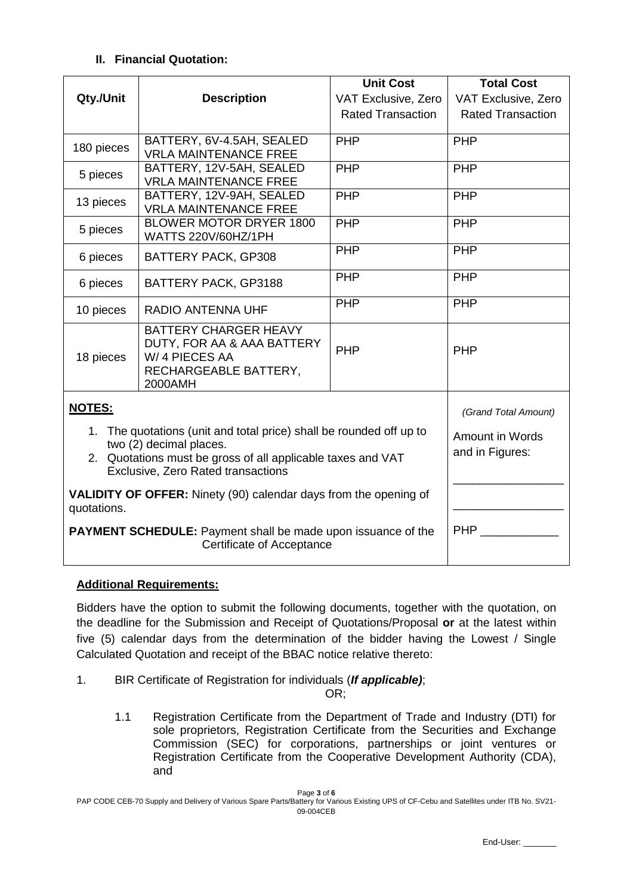# **II. Financial Quotation:**

|                                                                                                                                                                                                     |                                                                                                                 | <b>Unit Cost</b>         | <b>Total Cost</b>        |
|-----------------------------------------------------------------------------------------------------------------------------------------------------------------------------------------------------|-----------------------------------------------------------------------------------------------------------------|--------------------------|--------------------------|
| Qty./Unit                                                                                                                                                                                           | <b>Description</b>                                                                                              | VAT Exclusive, Zero      | VAT Exclusive, Zero      |
|                                                                                                                                                                                                     |                                                                                                                 | <b>Rated Transaction</b> | <b>Rated Transaction</b> |
| 180 pieces                                                                                                                                                                                          | BATTERY, 6V-4.5AH, SEALED<br><b>VRLA MAINTENANCE FREE</b>                                                       | <b>PHP</b>               | PHP                      |
| 5 pieces                                                                                                                                                                                            | BATTERY, 12V-5AH, SEALED<br><b>VRLA MAINTENANCE FREE</b>                                                        | <b>PHP</b>               | PHP                      |
| 13 pieces                                                                                                                                                                                           | BATTERY, 12V-9AH, SEALED<br><b>VRLA MAINTENANCE FREE</b>                                                        | <b>PHP</b>               | <b>PHP</b>               |
| 5 pieces                                                                                                                                                                                            | <b>BLOWER MOTOR DRYER 1800</b><br>WATTS 220V/60HZ/1PH                                                           | <b>PHP</b>               | <b>PHP</b>               |
| 6 pieces                                                                                                                                                                                            | BATTERY PACK, GP308                                                                                             | <b>PHP</b>               | <b>PHP</b>               |
| 6 pieces                                                                                                                                                                                            | BATTERY PACK, GP3188                                                                                            | PHP                      | <b>PHP</b>               |
| 10 pieces                                                                                                                                                                                           | <b>RADIO ANTENNA UHF</b>                                                                                        | PHP                      | PHP                      |
| 18 pieces                                                                                                                                                                                           | <b>BATTERY CHARGER HEAVY</b><br>DUTY, FOR AA & AAA BATTERY<br>W/4 PIECES AA<br>RECHARGEABLE BATTERY,<br>2000AMH | <b>PHP</b>               | PHP                      |
| NOTES:                                                                                                                                                                                              | (Grand Total Amount)                                                                                            |                          |                          |
| 1. The quotations (unit and total price) shall be rounded off up to<br>two (2) decimal places.<br>2. Quotations must be gross of all applicable taxes and VAT<br>Exclusive, Zero Rated transactions | Amount in Words<br>and in Figures:                                                                              |                          |                          |
| <b>VALIDITY OF OFFER:</b> Ninety (90) calendar days from the opening of<br>quotations.                                                                                                              |                                                                                                                 |                          |                          |
| <b>PAYMENT SCHEDULE:</b> Payment shall be made upon issuance of the                                                                                                                                 | <b>PHP</b>                                                                                                      |                          |                          |

# **Additional Requirements:**

Bidders have the option to submit the following documents, together with the quotation, on the deadline for the Submission and Receipt of Quotations/Proposal **or** at the latest within five (5) calendar days from the determination of the bidder having the Lowest / Single Calculated Quotation and receipt of the BBAC notice relative thereto:

1. BIR Certificate of Registration for individuals (*If applicable)*;

OR;

1.1 Registration Certificate from the Department of Trade and Industry (DTI) for sole proprietors, Registration Certificate from the Securities and Exchange Commission (SEC) for corporations, partnerships or joint ventures or Registration Certificate from the Cooperative Development Authority (CDA), and

Page **3** of **6** PAP CODE CEB-70 Supply and Delivery of Various Spare Parts/Battery for Various Existing UPS of CF-Cebu and Satellites under ITB No. SV21- 09-004CEB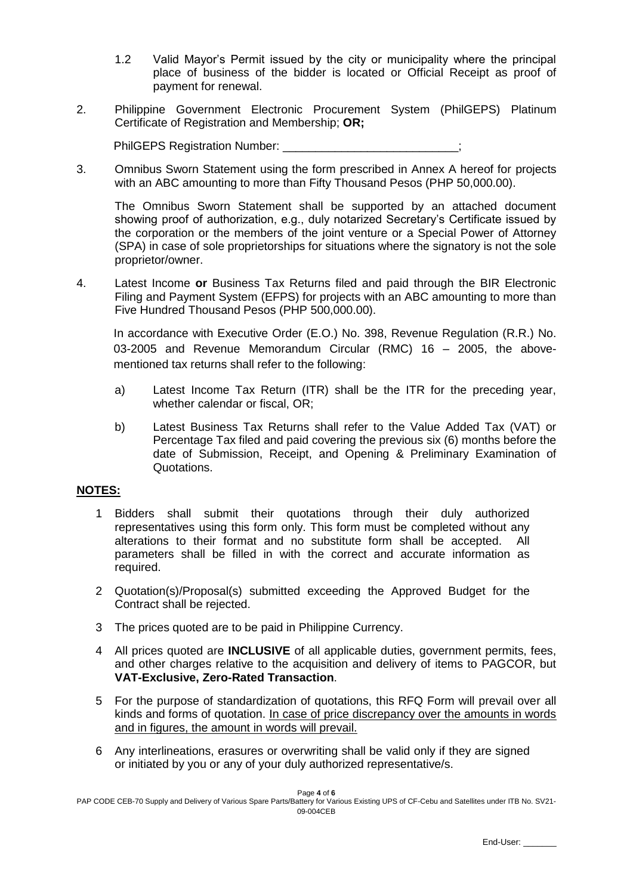- 1.2 Valid Mayor's Permit issued by the city or municipality where the principal place of business of the bidder is located or Official Receipt as proof of payment for renewal.
- 2. Philippine Government Electronic Procurement System (PhilGEPS) Platinum Certificate of Registration and Membership; **OR;**

PhilGEPS Registration Number:

3. Omnibus Sworn Statement using the form prescribed in Annex A hereof for projects with an ABC amounting to more than Fifty Thousand Pesos (PHP 50,000.00).

The Omnibus Sworn Statement shall be supported by an attached document showing proof of authorization, e.g., duly notarized Secretary's Certificate issued by the corporation or the members of the joint venture or a Special Power of Attorney (SPA) in case of sole proprietorships for situations where the signatory is not the sole proprietor/owner.

4. Latest Income **or** Business Tax Returns filed and paid through the BIR Electronic Filing and Payment System (EFPS) for projects with an ABC amounting to more than Five Hundred Thousand Pesos (PHP 500,000.00).

In accordance with Executive Order (E.O.) No. 398, Revenue Regulation (R.R.) No. 03-2005 and Revenue Memorandum Circular (RMC) 16 – 2005, the abovementioned tax returns shall refer to the following:

- a) Latest Income Tax Return (ITR) shall be the ITR for the preceding year, whether calendar or fiscal, OR;
- b) Latest Business Tax Returns shall refer to the Value Added Tax (VAT) or Percentage Tax filed and paid covering the previous six (6) months before the date of Submission, Receipt, and Opening & Preliminary Examination of Quotations.

## **NOTES:**

- 1 Bidders shall submit their quotations through their duly authorized representatives using this form only. This form must be completed without any alterations to their format and no substitute form shall be accepted. All parameters shall be filled in with the correct and accurate information as required.
- 2 Quotation(s)/Proposal(s) submitted exceeding the Approved Budget for the Contract shall be rejected.
- 3 The prices quoted are to be paid in Philippine Currency.
- 4 All prices quoted are **INCLUSIVE** of all applicable duties, government permits, fees, and other charges relative to the acquisition and delivery of items to PAGCOR, but **VAT-Exclusive, Zero-Rated Transaction**.
- 5 For the purpose of standardization of quotations, this RFQ Form will prevail over all kinds and forms of quotation. In case of price discrepancy over the amounts in words and in figures, the amount in words will prevail.
- 6 Any interlineations, erasures or overwriting shall be valid only if they are signed or initiated by you or any of your duly authorized representative/s.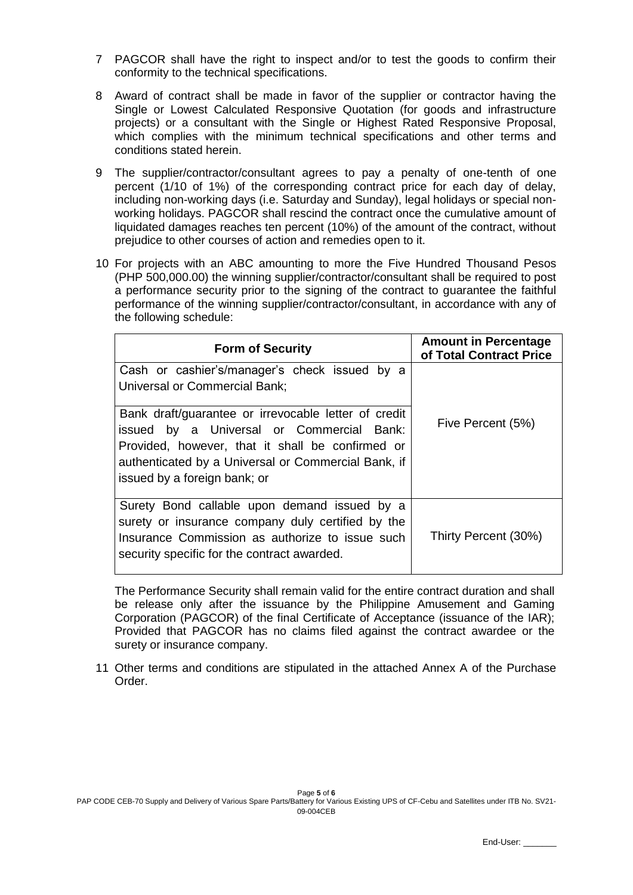- 7 PAGCOR shall have the right to inspect and/or to test the goods to confirm their conformity to the technical specifications.
- 8 Award of contract shall be made in favor of the supplier or contractor having the Single or Lowest Calculated Responsive Quotation (for goods and infrastructure projects) or a consultant with the Single or Highest Rated Responsive Proposal, which complies with the minimum technical specifications and other terms and conditions stated herein.
- 9 The supplier/contractor/consultant agrees to pay a penalty of one-tenth of one percent (1/10 of 1%) of the corresponding contract price for each day of delay, including non-working days (i.e. Saturday and Sunday), legal holidays or special nonworking holidays. PAGCOR shall rescind the contract once the cumulative amount of liquidated damages reaches ten percent (10%) of the amount of the contract, without prejudice to other courses of action and remedies open to it.
- 10 For projects with an ABC amounting to more the Five Hundred Thousand Pesos (PHP 500,000.00) the winning supplier/contractor/consultant shall be required to post a performance security prior to the signing of the contract to guarantee the faithful performance of the winning supplier/contractor/consultant, in accordance with any of the following schedule:

| <b>Form of Security</b>                                                                                                                                                                                                                      | <b>Amount in Percentage</b><br>of Total Contract Price |
|----------------------------------------------------------------------------------------------------------------------------------------------------------------------------------------------------------------------------------------------|--------------------------------------------------------|
| Cash or cashier's/manager's check issued by a<br><b>Universal or Commercial Bank;</b>                                                                                                                                                        |                                                        |
| Bank draft/guarantee or irrevocable letter of credit<br>issued by a Universal or Commercial Bank:<br>Provided, however, that it shall be confirmed or<br>authenticated by a Universal or Commercial Bank, if<br>issued by a foreign bank; or | Five Percent (5%)                                      |
| Surety Bond callable upon demand issued by a<br>surety or insurance company duly certified by the<br>Insurance Commission as authorize to issue such<br>security specific for the contract awarded.                                          | Thirty Percent (30%)                                   |

The Performance Security shall remain valid for the entire contract duration and shall be release only after the issuance by the Philippine Amusement and Gaming Corporation (PAGCOR) of the final Certificate of Acceptance (issuance of the IAR); Provided that PAGCOR has no claims filed against the contract awardee or the surety or insurance company.

11 Other terms and conditions are stipulated in the attached Annex A of the Purchase Order.